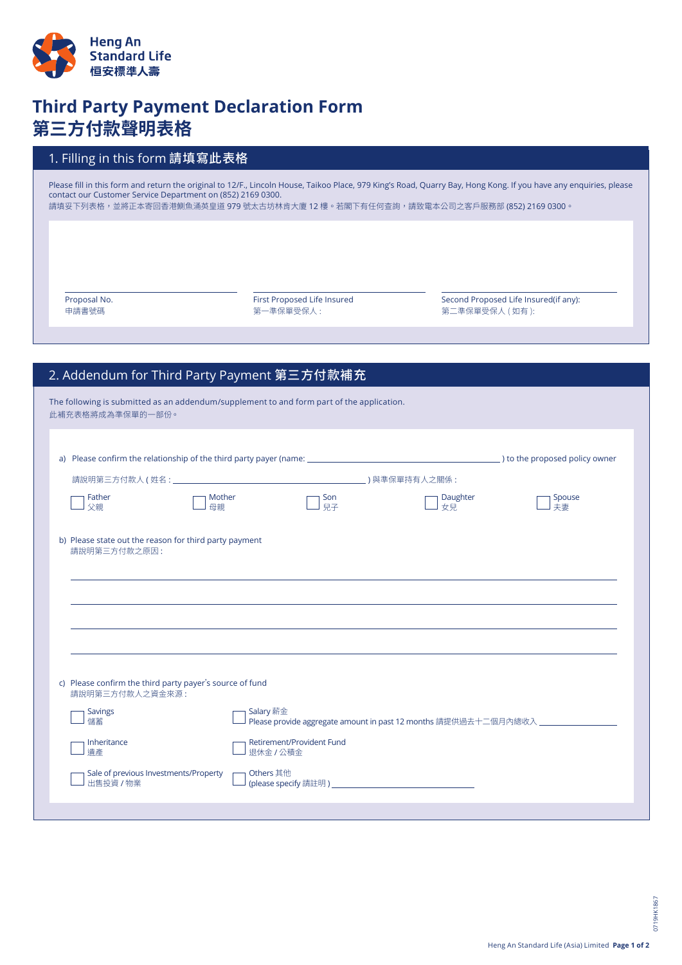

## **Third Party Payment Declaration Form 第三方付款聲明表格**

## 1. Filling in this form 請填寫此表格

Please fill in this form and return the original to 12/F., Lincoln House, Taikoo Place, 979 King's Road, Quarry Bay, Hong Kong. If you have any enquiries, please contact our Customer Service Department on (852) 2169 0300. 請填妥下列表格,並將正本寄回香港鰂魚涌英皇道 979 號太古坊林肯大廈 12 樓。若閣下有任何查詢,請致電本公司之客戶服務部 (852) 2169 0300。

Proposal No. 申請書號碼

First Proposed Life Insured 第一準保單受保人 :

Second Proposed Life Insured(if any): 第二準保單受保人 (如有):

## 2. Addendum for Third Party Payment 第三方付款補充

| The following is submitted as an addendum/supplement to and form part of the application.<br>此補充表格將成為準保單的一部份。 |              |                                                                                               |                |              |  |
|---------------------------------------------------------------------------------------------------------------|--------------|-----------------------------------------------------------------------------------------------|----------------|--------------|--|
|                                                                                                               |              |                                                                                               |                |              |  |
|                                                                                                               |              |                                                                                               |                |              |  |
| Father<br>父親                                                                                                  | Mother<br>母親 | Son<br>兒子                                                                                     | Daughter<br>女兒 | Spouse<br>夫妻 |  |
| b) Please state out the reason for third party payment<br>請說明第三方付款之原因:                                        |              |                                                                                               |                |              |  |
|                                                                                                               |              |                                                                                               |                |              |  |
|                                                                                                               |              |                                                                                               |                |              |  |
|                                                                                                               |              |                                                                                               |                |              |  |
| c) Please confirm the third party payer's source of fund<br>請說明第三方付款人之資金來源:                                   |              |                                                                                               |                |              |  |
| <b>Savings</b><br>儲蓄                                                                                          |              | Salary 薪金<br>Please provide aggregate amount in past 12 months 請提供過去十二個月內總收入 ________________ |                |              |  |
| Inheritance<br>遺產                                                                                             |              | Retirement/Provident Fund<br>退休金 / 公積金                                                        |                |              |  |
| Sale of previous Investments/Property<br>出售投資 / 物業                                                            | Others 其他    |                                                                                               |                |              |  |
|                                                                                                               |              |                                                                                               |                |              |  |

0719HK1867

D719HK1867